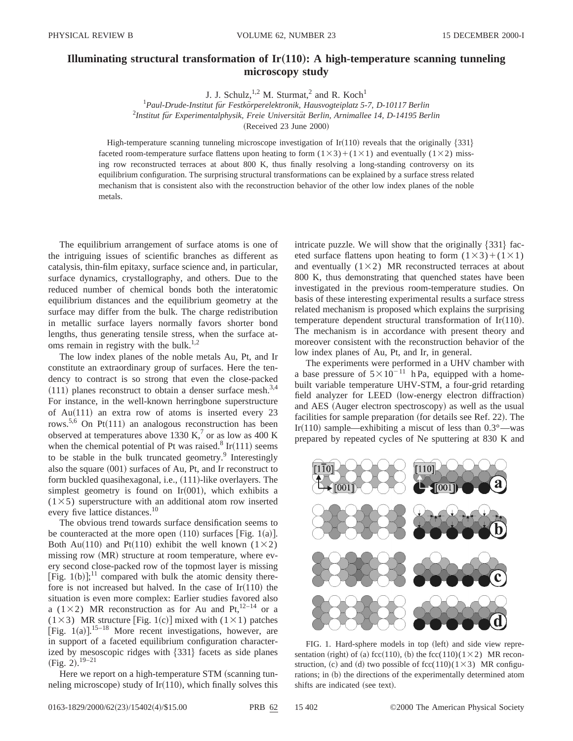## **Illuminating structural transformation of Ir(110): A high-temperature scanning tunneling microscopy study**

J. J. Schulz,  $1,2$  M. Sturmat,<sup>2</sup> and R. Koch<sup>1</sup>

<sup>1</sup> Paul-Drude-Institut für Festkörperelektronik, Hausvogteiplatz 5-7, D-10117 Berlin 2 *Institut fu¨r Experimentalphysik, Freie Universita¨t Berlin, Arnimallee 14, D-14195 Berlin*

 $(Received 23 June 2000)$ 

High-temperature scanning tunneling microscope investigation of Ir $(110)$  reveals that the originally  $\{331\}$ faceted room-temperature surface flattens upon heating to form  $(1\times3)+(1\times1)$  and eventually  $(1\times2)$  missing row reconstructed terraces at about 800 K, thus finally resolving a long-standing controversy on its equilibrium configuration. The surprising structural transformations can be explained by a surface stress related mechanism that is consistent also with the reconstruction behavior of the other low index planes of the noble metals.

The equilibrium arrangement of surface atoms is one of the intriguing issues of scientific branches as different as catalysis, thin-film epitaxy, surface science and, in particular, surface dynamics, crystallography, and others. Due to the reduced number of chemical bonds both the interatomic equilibrium distances and the equilibrium geometry at the surface may differ from the bulk. The charge redistribution in metallic surface layers normally favors shorter bond lengths, thus generating tensile stress, when the surface atoms remain in registry with the bulk.<sup>1,2</sup>

The low index planes of the noble metals Au, Pt, and Ir constitute an extraordinary group of surfaces. Here the tendency to contract is so strong that even the close-packed  $(111)$  planes reconstruct to obtain a denser surface mesh.<sup>3,4</sup> For instance, in the well-known herringbone superstructure of Au $(111)$  an extra row of atoms is inserted every 23 rows.<sup>5,6</sup> On Pt $(111)$  an analogous reconstruction has been observed at temperatures above 1330 K,<sup>7</sup> or as low as 400 K when the chemical potential of Pt was raised.<sup>8</sup> Ir $(111)$  seems to be stable in the bulk truncated geometry. $9$  Interestingly also the square  $(001)$  surfaces of Au, Pt, and Ir reconstruct to form buckled quasihexagonal, i.e.,  $(111)$ -like overlayers. The simplest geometry is found on Ir $(001)$ , which exhibits a  $(1\times5)$  superstructure with an additional atom row inserted every five lattice distances.<sup>10</sup>

The obvious trend towards surface densification seems to be counteracted at the more open  $(110)$  surfaces [Fig. 1(a)]. Both Au(110) and Pt(110) exhibit the well known (1×2) missing row (MR) structure at room temperature, where every second close-packed row of the topmost layer is missing [Fig. 1(b)];<sup>11</sup> compared with bulk the atomic density therefore is not increased but halved. In the case of  $Ir(110)$  the situation is even more complex: Earlier studies favored also a (1×2) MR reconstruction as for Au and Pt,<sup>12–14</sup> or a (1×3) MR structure [Fig. 1(c)] mixed with (1×1) patches [Fig.  $1(a)$ ].<sup>15–18</sup> More recent investigations, however, are in support of a faceted equilibrium configuration characterized by mesoscopic ridges with  ${331}$  facets as side planes  $(Fig. 2).^{19-21}$ 

Here we report on a high-temperature STM (scanning tunneling microscope) study of Ir $(110)$ , which finally solves this intricate puzzle. We will show that the originally  $\{331\}$  faceted surface flattens upon heating to form  $(1\times3)+(1\times1)$ and eventually  $(1\times2)$  MR reconstructed terraces at about 800 K, thus demonstrating that quenched states have been investigated in the previous room-temperature studies. On basis of these interesting experimental results a surface stress related mechanism is proposed which explains the surprising temperature dependent structural transformation of Ir $(110)$ . The mechanism is in accordance with present theory and moreover consistent with the reconstruction behavior of the low index planes of Au, Pt, and Ir, in general.

The experiments were performed in a UHV chamber with a base pressure of  $5 \times 10^{-11}$  h Pa, equipped with a homebuilt variable temperature UHV-STM, a four-grid retarding field analyzer for LEED (low-energy electron diffraction) and AES (Auger electron spectroscopy) as well as the usual facilities for sample preparation (for details see Ref. 22). The Ir(110) sample—exhibiting a miscut of less than  $0.3^{\circ}$ —was prepared by repeated cycles of Ne sputtering at 830 K and



FIG. 1. Hard-sphere models in top (left) and side view representation (right) of (a) fcc(110), (b) the fcc(110)(1×2) MR reconstruction, (c) and (d) two possible of fcc(110)(1×3) MR configurations; in (b) the directions of the experimentally determined atom shifts are indicated (see text).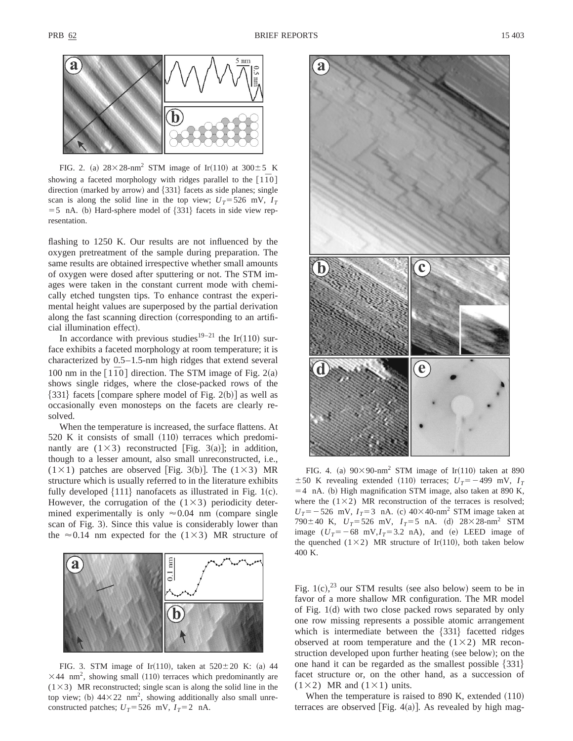

FIG. 2. (a)  $28\times28$ -nm<sup>2</sup> STM image of Ir(110) at  $300\pm5$  K showing a faceted morphology with ridges parallel to the  $\lceil 1\bar{1}0\rceil$ direction (marked by arrow) and  $\{331\}$  facets as side planes; single scan is along the solid line in the top view;  $U_T = 526$  mV,  $I_T$  $=$  5 nA. (b) Hard-sphere model of  $\{331\}$  facets in side view representation.

flashing to 1250 K. Our results are not influenced by the oxygen pretreatment of the sample during preparation. The same results are obtained irrespective whether small amounts of oxygen were dosed after sputtering or not. The STM images were taken in the constant current mode with chemically etched tungsten tips. To enhance contrast the experimental height values are superposed by the partial derivation along the fast scanning direction (corresponding to an artificial illumination effect).

In accordance with previous studies<sup>19–21</sup> the Ir(110) surface exhibits a faceted morphology at room temperature; it is characterized by 0.5–1.5-nm high ridges that extend several 100 nm in the  $[110]$  direction. The STM image of Fig. 2(a) shows single ridges, where the close-packed rows of the  $\{331\}$  facets [compare sphere model of Fig. 2(b)] as well as occasionally even monosteps on the facets are clearly resolved.

When the temperature is increased, the surface flattens. At  $520$  K it consists of small  $(110)$  terraces which predominantly are  $(1\times3)$  reconstructed [Fig. 3(a)]; in addition, though to a lesser amount, also small unreconstructed, i.e.,  $(1 \times 1)$  patches are observed [Fig. 3(b)]. The  $(1 \times 3)$  MR structure which is usually referred to in the literature exhibits fully developed  $\{111\}$  nanofacets as illustrated in Fig. 1(c). However, the corrugation of the  $(1\times3)$  periodicity determined experimentally is only  $\approx 0.04$  nm (compare single scan of Fig. 3). Since this value is considerably lower than the  $\approx 0.14$  nm expected for the (1×3) MR structure of



FIG. 3. STM image of Ir(110), taken at  $520 \pm 20$  K: (a) 44  $\times$ 44 nm<sup>2</sup>, showing small (110) terraces which predominantly are  $(1\times3)$  MR reconstructed; single scan is along the solid line in the top view; (b)  $44 \times 22$  nm<sup>2</sup>, showing additionally also small unreconstructed patches;  $U_T$ =526 mV,  $I_T$ =2 nA.



FIG. 4. (a)  $90 \times 90$ -nm<sup>2</sup> STM image of Ir(110) taken at 890  $\pm 50$  K revealing extended (110) terraces;  $U_T = -499$  mV,  $I_T$  $=$  4 nA. (b) High magnification STM image, also taken at 890 K, where the  $(1\times2)$  MR reconstruction of the terraces is resolved;  $U_T$ = -526 mV,  $I_T$ =3 nA. (c) 40×40-nm<sup>2</sup> STM image taken at 790 $\pm$ 40 K,  $U_T$ =526 mV,  $I_T$ =5 nA. (d) 28×28-nm<sup>2</sup> STM image  $(U_T=-68 \text{ mV}, I_T=3.2 \text{ nA})$ , and (e) LEED image of the quenched (1×2) MR structure of Ir(110), both taken below 400 K.

Fig.  $1(c)$ ,<sup>23</sup> our STM results (see also below) seem to be in favor of a more shallow MR configuration. The MR model of Fig.  $1(d)$  with two close packed rows separated by only one row missing represents a possible atomic arrangement which is intermediate between the  $\{331\}$  facetted ridges observed at room temperature and the  $(1\times2)$  MR reconstruction developed upon further heating (see below); on the one hand it can be regarded as the smallest possible  $\{331\}$ facet structure or, on the other hand, as a succession of  $(1\times2)$  MR and  $(1\times1)$  units.

When the temperature is raised to  $890$  K, extended  $(110)$ terraces are observed [Fig.  $4(a)$ ]. As revealed by high mag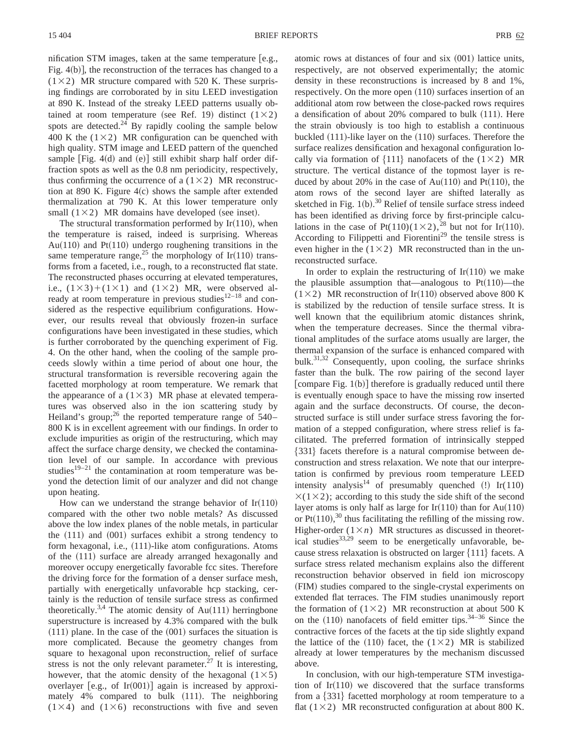nification STM images, taken at the same temperature  $[e.g.,]$ Fig.  $4(b)$ , the reconstruction of the terraces has changed to a  $(1\times2)$  MR structure compared with 520 K. These surprising findings are corroborated by in situ LEED investigation at 890 K. Instead of the streaky LEED patterns usually obtained at room temperature (see Ref. 19) distinct  $(1\times2)$ spots are detected.<sup>24</sup> By rapidly cooling the sample below 400 K the  $(1\times2)$  MR configuration can be quenched with high quality. STM image and LEED pattern of the quenched sample [Fig. 4 $(d)$  and  $(e)$ ] still exhibit sharp half order diffraction spots as well as the 0.8 nm periodicity, respectively, thus confirming the occurrence of a  $(1\times2)$  MR reconstruction at 890 K. Figure  $4(c)$  shows the sample after extended thermalization at 790 K. At this lower temperature only small  $(1\times2)$  MR domains have developed (see inset).

The structural transformation performed by  $Ir(110)$ , when the temperature is raised, indeed is surprising. Whereas Au $(110)$  and Pt $(110)$  undergo roughening transitions in the same temperature range,<sup>25</sup> the morphology of Ir(110) transforms from a faceted, i.e., rough, to a reconstructed flat state. The reconstructed phases occurring at elevated temperatures, i.e.,  $(1\times3)+(1\times1)$  and  $(1\times2)$  MR, were observed already at room temperature in previous studies $12-18$  and considered as the respective equilibrium configurations. However, our results reveal that obviously frozen-in surface configurations have been investigated in these studies, which is further corroborated by the quenching experiment of Fig. 4. On the other hand, when the cooling of the sample proceeds slowly within a time period of about one hour, the structural transformation is reversible recovering again the facetted morphology at room temperature. We remark that the appearance of a  $(1\times3)$  MR phase at elevated temperatures was observed also in the ion scattering study by Heiland's group;<sup>26</sup> the reported temperature range of  $540-$ 800 K is in excellent agreement with our findings. In order to exclude impurities as origin of the restructuring, which may affect the surface charge density, we checked the contamination level of our sample. In accordance with previous studies $19-21$  the contamination at room temperature was beyond the detection limit of our analyzer and did not change upon heating.

How can we understand the strange behavior of  $Ir(110)$ compared with the other two noble metals? As discussed above the low index planes of the noble metals, in particular the  $(111)$  and  $(001)$  surfaces exhibit a strong tendency to form hexagonal, i.e.,  $(111)$ -like atom configurations. Atoms of the  $(111)$  surface are already arranged hexagonally and moreover occupy energetically favorable fcc sites. Therefore the driving force for the formation of a denser surface mesh, partially with energetically unfavorable hcp stacking, certainly is the reduction of tensile surface stress as confirmed theoretically.<sup>3,4</sup> The atomic density of Au $(111)$  herringbone superstructure is increased by 4.3% compared with the bulk  $(111)$  plane. In the case of the  $(001)$  surfaces the situation is more complicated. Because the geometry changes from square to hexagonal upon reconstruction, relief of surface stress is not the only relevant parameter.<sup>27</sup> It is interesting, however, that the atomic density of the hexagonal  $(1\times5)$ overlayer [e.g., of Ir $(001)$ ] again is increased by approximately  $4\%$  compared to bulk  $(111)$ . The neighboring  $(1\times4)$  and  $(1\times6)$  reconstructions with five and seven

atomic rows at distances of four and  $s$ ix  $(001)$  lattice units, respectively, are not observed experimentally; the atomic density in these reconstructions is increased by 8 and 1%, respectively. On the more open  $(110)$  surfaces insertion of an additional atom row between the close-packed rows requires a densification of about  $20\%$  compared to bulk  $(111)$ . Here the strain obviously is too high to establish a continuous buckled  $(111)$ -like layer on the  $(110)$  surfaces. Therefore the surface realizes densification and hexagonal configuration locally via formation of  $\{111\}$  nanofacets of the  $(1\times2)$  MR structure. The vertical distance of the topmost layer is reduced by about 20% in the case of  $Au(110)$  and  $Pt(110)$ , the atom rows of the second layer are shifted laterally as sketched in Fig.  $1(b)$ .<sup>30</sup> Relief of tensile surface stress indeed has been identified as driving force by first-principle calculations in the case of Pt(110)(1×2),<sup>28</sup> but not for Ir(110). According to Filippetti and Fiorentini<sup>29</sup> the tensile stress is even higher in the  $(1\times2)$  MR reconstructed than in the unreconstructed surface.

In order to explain the restructuring of  $Ir(110)$  we make the plausible assumption that—analogous to  $Pt(110)$ —the  $(1\times2)$  MR reconstruction of Ir(110) observed above 800 K is stabilized by the reduction of tensile surface stress. It is well known that the equilibrium atomic distances shrink, when the temperature decreases. Since the thermal vibrational amplitudes of the surface atoms usually are larger, the thermal expansion of the surface is enhanced compared with bulk. $31,32$  Consequently, upon cooling, the surface shrinks faster than the bulk. The row pairing of the second layer [compare Fig.  $1(b)$ ] therefore is gradually reduced until there is eventually enough space to have the missing row inserted again and the surface deconstructs. Of course, the deconstructed surface is still under surface stress favoring the formation of a stepped configuration, where stress relief is facilitated. The preferred formation of intrinsically stepped  ${331}$  facets therefore is a natural compromise between deconstruction and stress relaxation. We note that our interpretation is confirmed by previous room temperature LEED intensity analysis<sup>14</sup> of presumably quenched  $(!)$  Ir $(110)$  $\times$ (1 $\times$ 2); according to this study the side shift of the second layer atoms is only half as large for Ir $(110)$  than for Au $(110)$ or Pt $(110)$ ,<sup>30</sup> thus facilitating the refilling of the missing row. Higher-order  $(1 \times n)$  MR structures as discussed in theoretical studies<sup>33,29</sup> seem to be energetically unfavorable, because stress relaxation is obstructed on larger  $\{111\}$  facets. A surface stress related mechanism explains also the different reconstruction behavior observed in field ion microscopy (FIM) studies compared to the single-crystal experiments on extended flat terraces. The FIM studies unanimously report the formation of  $(1\times2)$  MR reconstruction at about 500 K on the  $(110)$  nanofacets of field emitter tips.<sup>34–36</sup> Since the contractive forces of the facets at the tip side slightly expand the lattice of the (110) facet, the (1×2) MR is stabilized already at lower temperatures by the mechanism discussed above.

In conclusion, with our high-temperature STM investigation of  $Ir(110)$  we discovered that the surface transforms from a  $\{331\}$  facetted morphology at room temperature to a flat  $(1\times2)$  MR reconstructed configuration at about 800 K.